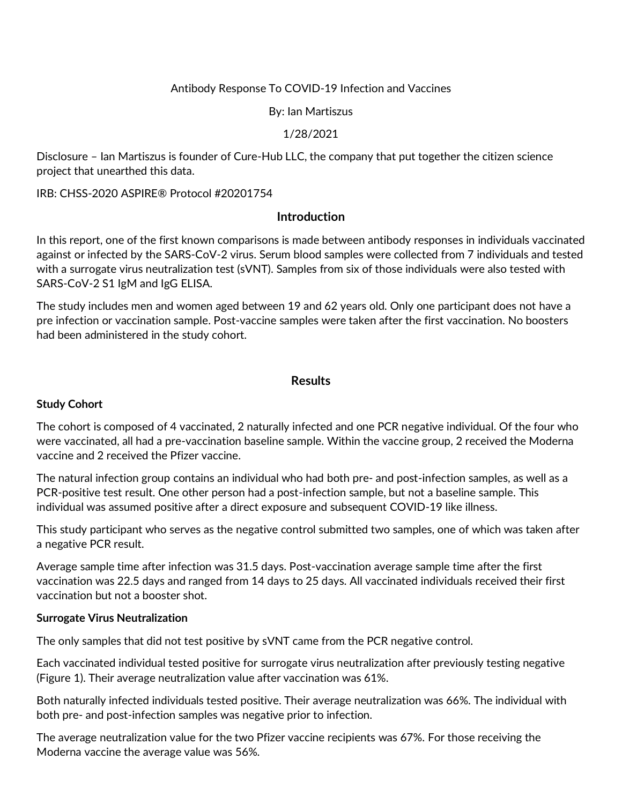## Antibody Response To COVID-19 Infection and Vaccines

By: Ian Martiszus

### 1/28/2021

Disclosure – Ian Martiszus is founder of Cure-Hub LLC, the company that put together the citizen science project that unearthed this data.

IRB: CHSS-2020 ASPIRE® Protocol #20201754

### **Introduction**

In this report, one of the first known comparisons is made between antibody responses in individuals vaccinated against or infected by the SARS-CoV-2 virus. Serum blood samples were collected from 7 individuals and tested with a surrogate virus neutralization test (sVNT). Samples from six of those individuals were also tested with SARS-CoV-2 S1 IgM and IgG ELISA.

The study includes men and women aged between 19 and 62 years old. Only one participant does not have a pre infection or vaccination sample. Post-vaccine samples were taken after the first vaccination. No boosters had been administered in the study cohort.

### **Results**

#### **Study Cohort**

The cohort is composed of 4 vaccinated, 2 naturally infected and one PCR negative individual. Of the four who were vaccinated, all had a pre-vaccination baseline sample. Within the vaccine group, 2 received the Moderna vaccine and 2 received the Pfizer vaccine.

The natural infection group contains an individual who had both pre- and post-infection samples, as well as a PCR-positive test result. One other person had a post-infection sample, but not a baseline sample. This individual was assumed positive after a direct exposure and subsequent COVID-19 like illness.

This study participant who serves as the negative control submitted two samples, one of which was taken after a negative PCR result.

Average sample time after infection was 31.5 days. Post-vaccination average sample time after the first vaccination was 22.5 days and ranged from 14 days to 25 days. All vaccinated individuals received their first vaccination but not a booster shot.

#### **Surrogate Virus Neutralization**

The only samples that did not test positive by sVNT came from the PCR negative control.

Each vaccinated individual tested positive for surrogate virus neutralization after previously testing negative (Figure 1). Their average neutralization value after vaccination was 61%.

Both naturally infected individuals tested positive. Their average neutralization was 66%. The individual with both pre- and post-infection samples was negative prior to infection.

The average neutralization value for the two Pfizer vaccine recipients was 67%. For those receiving the Moderna vaccine the average value was 56%.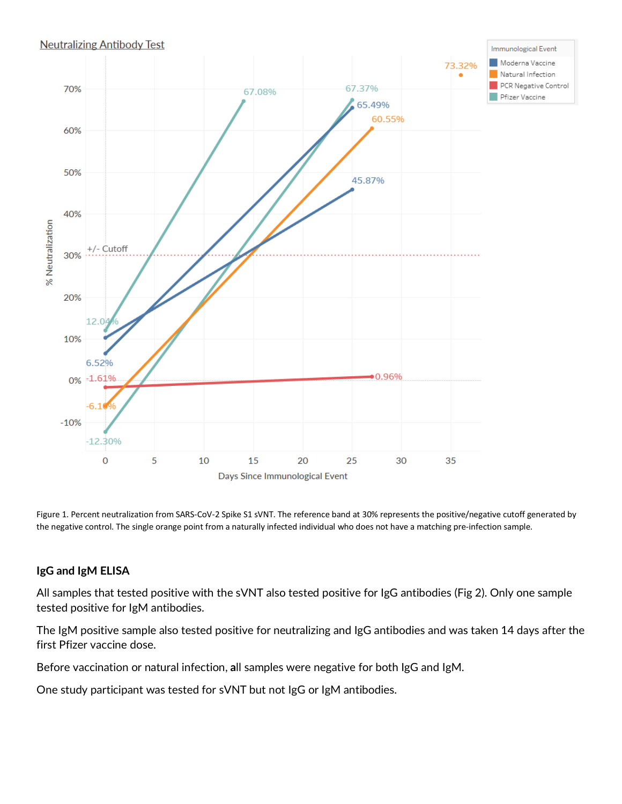### **Neutralizing Antibody Test**



Figure 1. Percent neutralization from SARS-CoV-2 Spike S1 sVNT. The reference band at 30% represents the positive/negative cutoff generated by the negative control. The single orange point from a naturally infected individual who does not have a matching pre-infection sample.

### **IgG and IgM ELISA**

All samples that tested positive with the sVNT also tested positive for IgG antibodies (Fig 2). Only one sample tested positive for IgM antibodies.

The IgM positive sample also tested positive for neutralizing and IgG antibodies and was taken 14 days after the first Pfizer vaccine dose.

Before vaccination or natural infection, **a**ll samples were negative for both IgG and IgM.

One study participant was tested for sVNT but not IgG or IgM antibodies.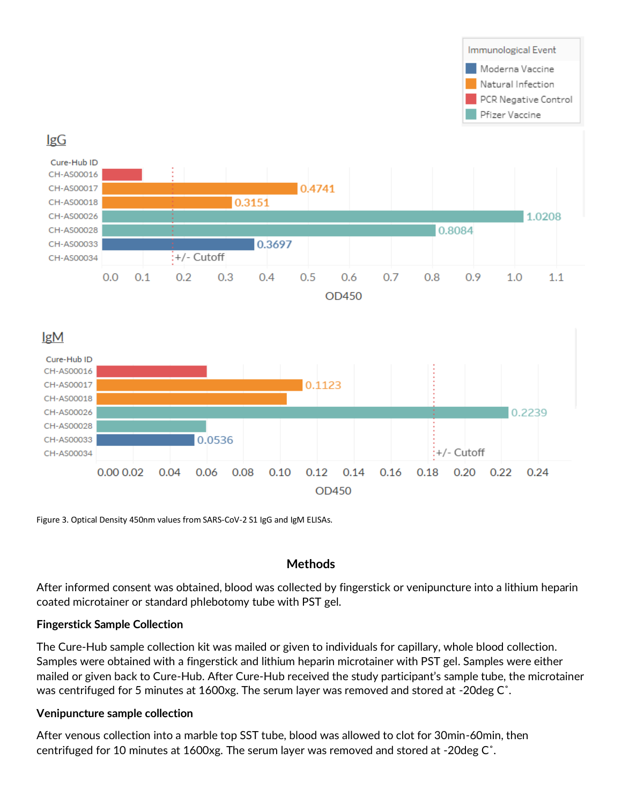

Figure 3. Optical Density 450nm values from SARS-CoV-2 S1 IgG and IgM ELISAs.

# **Methods**

After informed consent was obtained, blood was collected by fingerstick or venipuncture into a lithium heparin coated microtainer or standard phlebotomy tube with PST gel.

## **Fingerstick Sample Collection**

The Cure-Hub sample collection kit was mailed or given to individuals for capillary, whole blood collection. Samples were obtained with a fingerstick and lithium heparin microtainer with PST gel. Samples were either mailed or given back to Cure-Hub. After Cure-Hub received the study participant's sample tube, the microtainer was centrifuged for 5 minutes at 1600xg. The serum layer was removed and stored at -20deg C˚.

## **Venipuncture sample collection**

After venous collection into a marble top SST tube, blood was allowed to clot for 30min-60min, then centrifuged for 10 minutes at 1600xg. The serum layer was removed and stored at -20deg C˚.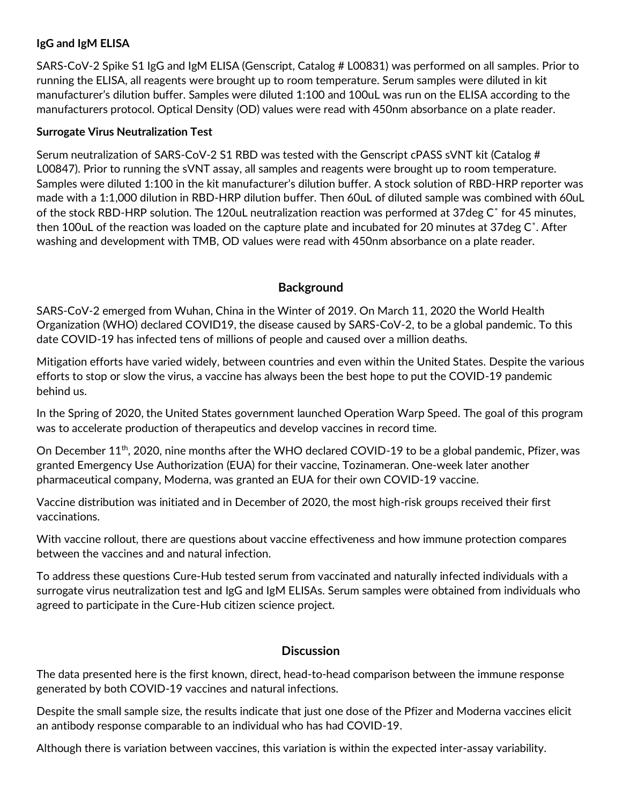## **IgG and IgM ELISA**

SARS-CoV-2 Spike S1 IgG and IgM ELISA (Genscript, Catalog # L00831) was performed on all samples. Prior to running the ELISA, all reagents were brought up to room temperature. Serum samples were diluted in kit manufacturer's dilution buffer. Samples were diluted 1:100 and 100uL was run on the ELISA according to the manufacturers protocol. Optical Density (OD) values were read with 450nm absorbance on a plate reader.

## **Surrogate Virus Neutralization Test**

Serum neutralization of SARS-CoV-2 S1 RBD was tested with the Genscript cPASS sVNT kit (Catalog # L00847). Prior to running the sVNT assay, all samples and reagents were brought up to room temperature. Samples were diluted 1:100 in the kit manufacturer's dilution buffer. A stock solution of RBD-HRP reporter was made with a 1:1,000 dilution in RBD-HRP dilution buffer. Then 60uL of diluted sample was combined with 60uL of the stock RBD-HRP solution. The 120uL neutralization reaction was performed at 37deg C˚ for 45 minutes, then 100uL of the reaction was loaded on the capture plate and incubated for 20 minutes at 37deg C˚. After washing and development with TMB, OD values were read with 450nm absorbance on a plate reader.

# **Background**

SARS-CoV-2 emerged from Wuhan, China in the Winter of 2019. On March 11, 2020 the World Health Organization (WHO) declared COVID19, the disease caused by SARS-CoV-2, to be a global pandemic. To this date COVID-19 has infected tens of millions of people and caused over a million deaths.

Mitigation efforts have varied widely, between countries and even within the United States. Despite the various efforts to stop or slow the virus, a vaccine has always been the best hope to put the COVID-19 pandemic behind us.

In the Spring of 2020, the United States government launched Operation Warp Speed. The goal of this program was to accelerate production of therapeutics and develop vaccines in record time.

On December 11<sup>th</sup>, 2020, nine months after the WHO declared COVID-19 to be a global pandemic, Pfizer, was granted Emergency Use Authorization (EUA) for their vaccine, Tozinameran. One-week later another pharmaceutical company, Moderna, was granted an EUA for their own COVID-19 vaccine.

Vaccine distribution was initiated and in December of 2020, the most high-risk groups received their first vaccinations.

With vaccine rollout, there are questions about vaccine effectiveness and how immune protection compares between the vaccines and and natural infection.

To address these questions Cure-Hub tested serum from vaccinated and naturally infected individuals with a surrogate virus neutralization test and IgG and IgM ELISAs. Serum samples were obtained from individuals who agreed to participate in the Cure-Hub citizen science project.

## **Discussion**

The data presented here is the first known, direct, head-to-head comparison between the immune response generated by both COVID-19 vaccines and natural infections.

Despite the small sample size, the results indicate that just one dose of the Pfizer and Moderna vaccines elicit an antibody response comparable to an individual who has had COVID-19.

Although there is variation between vaccines, this variation is within the expected inter-assay variability.